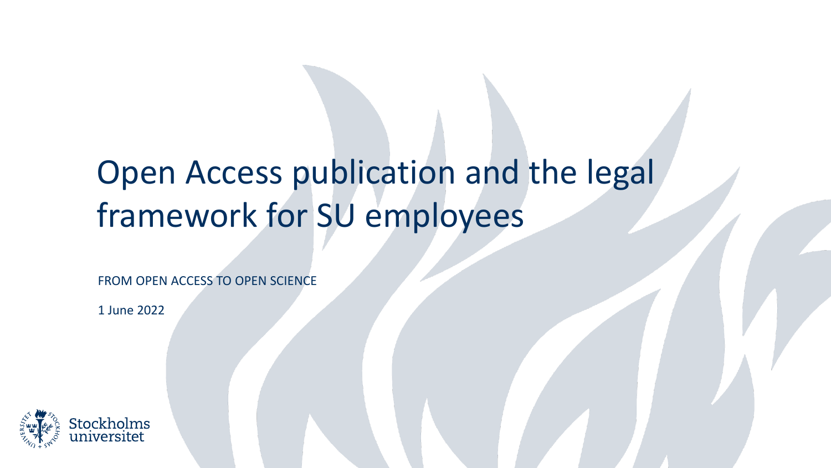# Open Access publication and the legal framework for SU employees

FROM OPEN ACCESS TO OPEN SCIENCE

1 June 2022

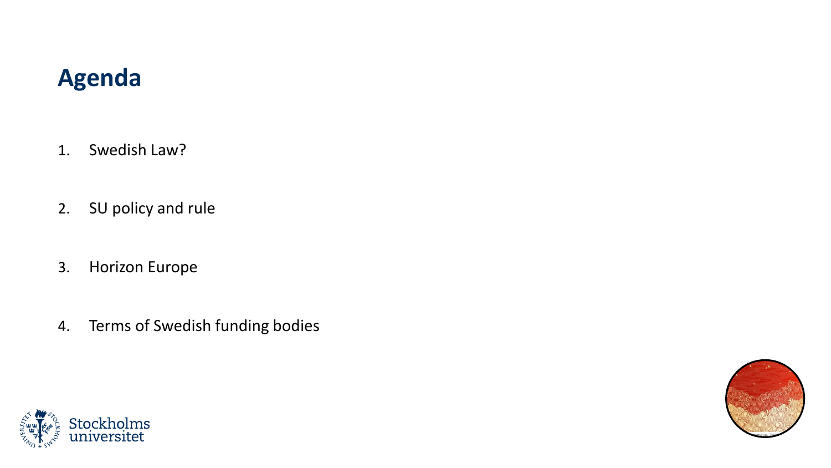### **Agenda**

- 1. Swedish Law?
- 2. SU policy and rule
- 3. Horizon Europe
- 4. Terms of Swedish funding bodies



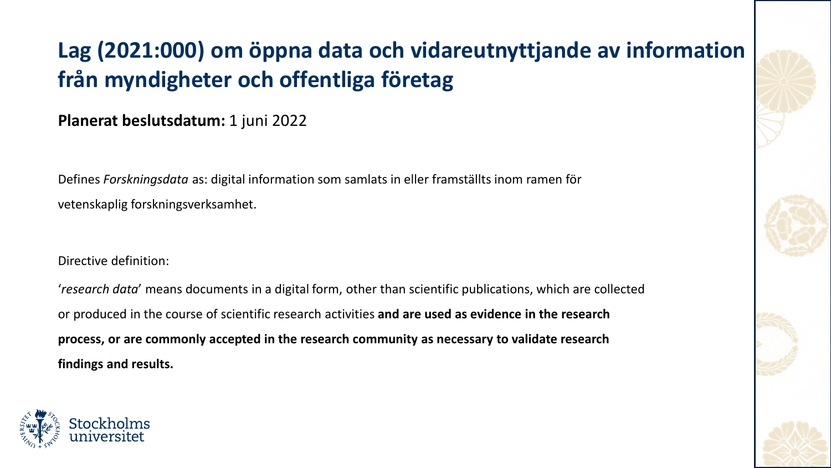# **Lag (2021:000) om öppna data och vidareutnyttjande av information från myndigheter och offentliga företag**

#### **Planerat beslutsdatum:** 1 juni 2022

Defines *Forskningsdata* as: digital information som samlats in eller framställts inom ramen för vetenskaplig forskningsverksamhet.

#### Directive definition:

'*research data*' means documents in a digital form, other than scientific publications, which are collected or produced in the course of scientific research activities **and are used as evidence in the research process, or are commonly accepted in the research community as necessary to validate research findings and results.**



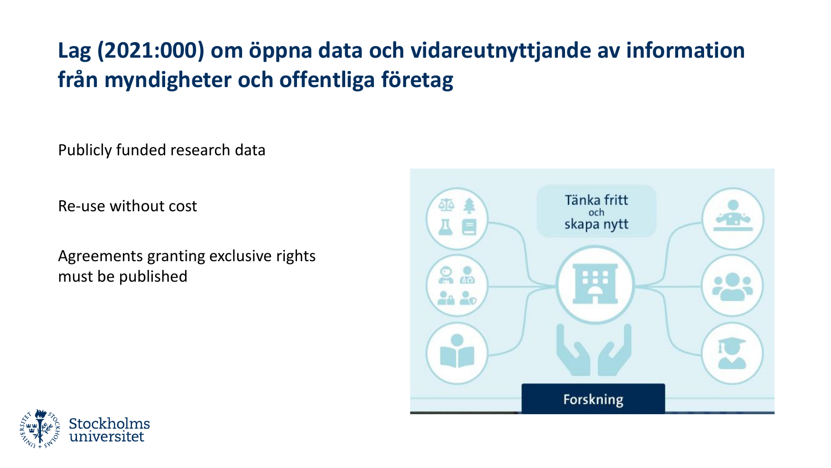## **Lag (2021:000) om öppna data och vidareutnyttjande av information från myndigheter och offentliga företag**

Publicly funded research data

Re-use without cost

Agreements granting exclusive rights must be published



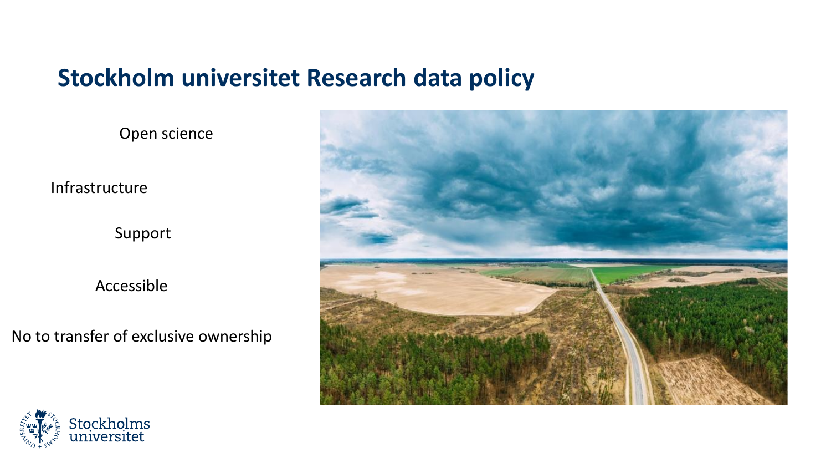### **Stockholm universitet Research data policy**

Open science

Infrastructure

Support

Accessible

No to transfer of exclusive ownership



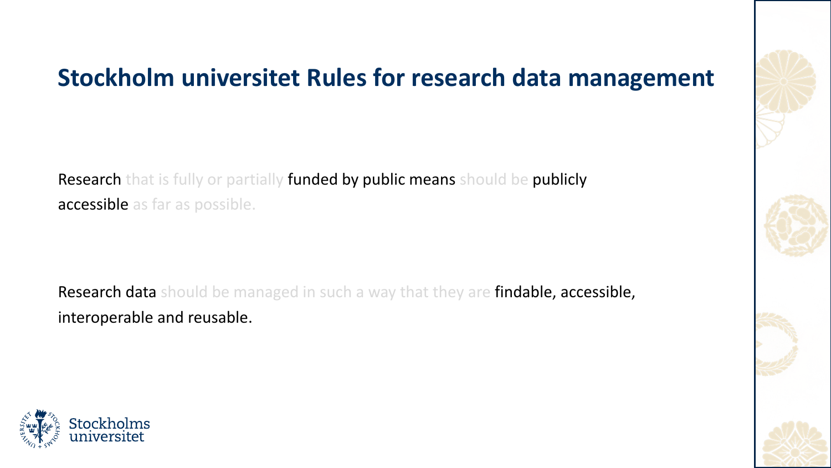## **Stockholm universitet Rules for research data management**

Research that is fully or partially funded by public means should be publicly accessible as far as possible.

Research data should be managed in such a way that they are findable, accessible, interoperable and reusable.



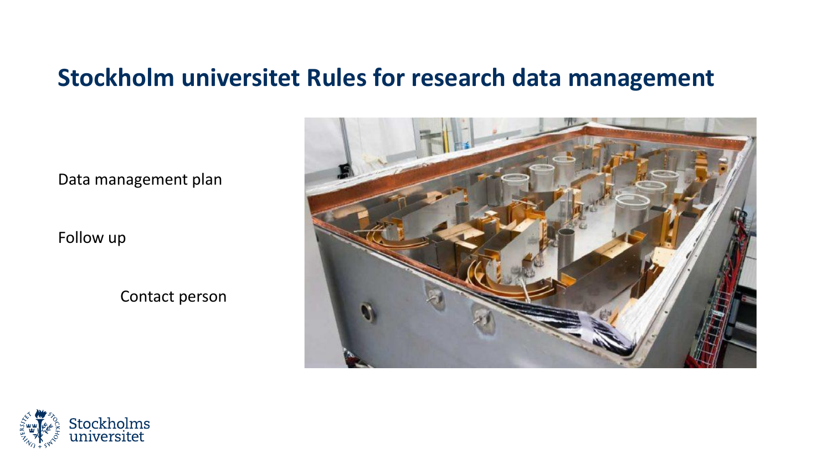### **Stockholm universitet Rules for research data management**

Data management plan

Follow up

Contact person



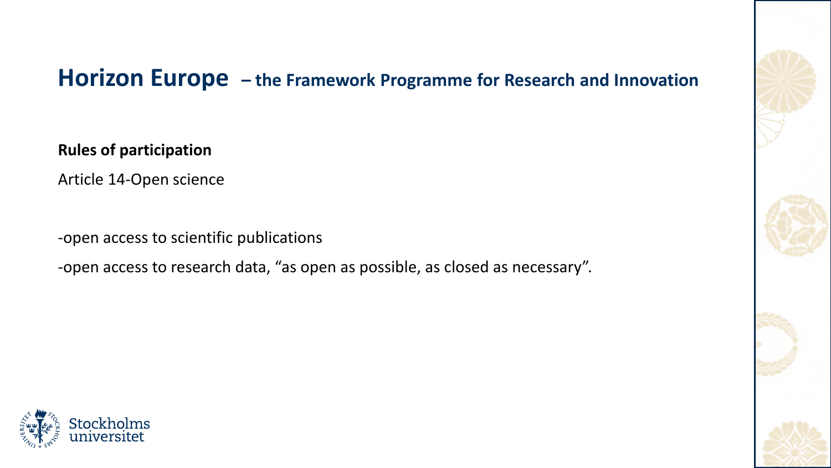### **Horizon Europe – the Framework Programme for Research and Innovation**

**Rules of participation**

Article 14-Open science

-open access to scientific publications

-open access to research data, "as open as possible, as closed as necessary".



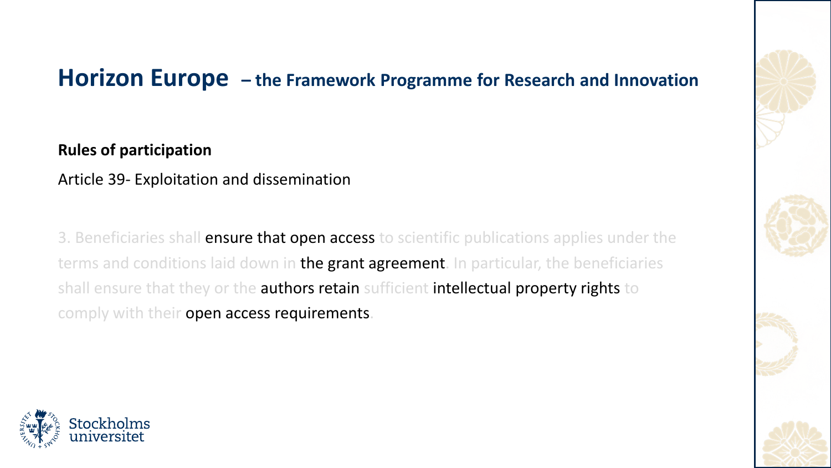### **Horizon Europe – the Framework Programme for Research and Innovation**

**Rules of participation**

Article 39- Exploitation and dissemination

3. Beneficiaries shall **ensure that open access** to scientific publications applies under the terms and conditions laid down in the grant agreement. In particular, the beneficiaries shall ensure that they or the authors retain sufficient intellectual property rights to comply with their open access requirements.



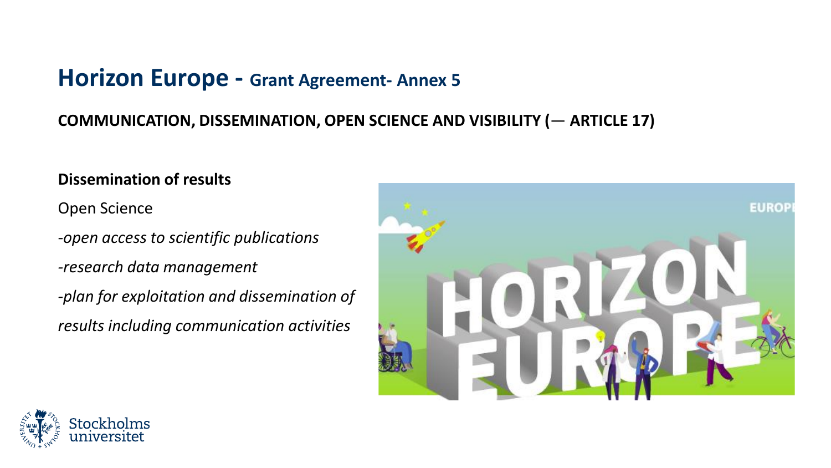### **Horizon Europe - Grant Agreement- Annex 5**

#### **COMMUNICATION, DISSEMINATION, OPEN SCIENCE AND VISIBILITY (**— **ARTICLE 17)**

#### **Dissemination of results**

Open Science

*-open access to scientific publications* 

*-research data management* 

*-plan for exploitation and dissemination of results including communication activities* 



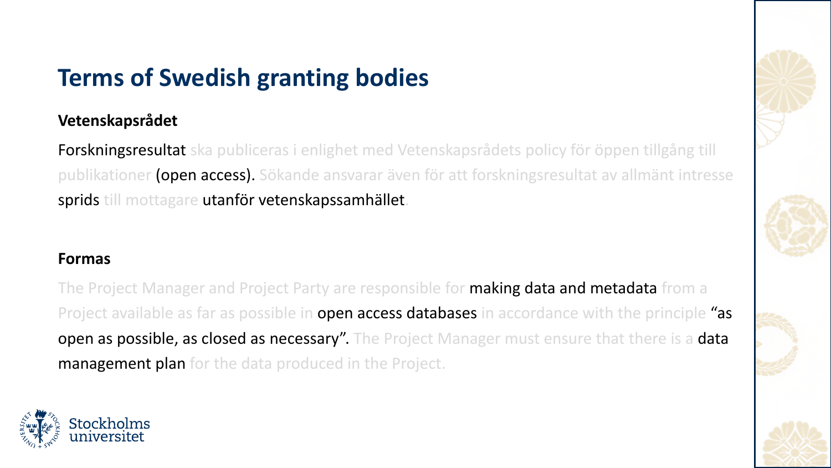# **Terms of Swedish granting bodies**

#### **Vetenskapsrådet**

Forskningsresultat ska publiceras i enlighet med Vetenskapsrådets policy för öppen tillgång till publikationer (open access). Sökande ansvarar även för att forskningsresultat av allmänt intresse sprids till mottagare utanför vetenskapssamhället.

#### **Formas**

The Project Manager and Project Party are responsible for **making data and metadata** from a Project available as far as possible in **open access databases in** accordance with the principle "as open as possible, as closed as necessary". The Project Manager must ensure that there is a data **management plan** for the data produced in the Project.

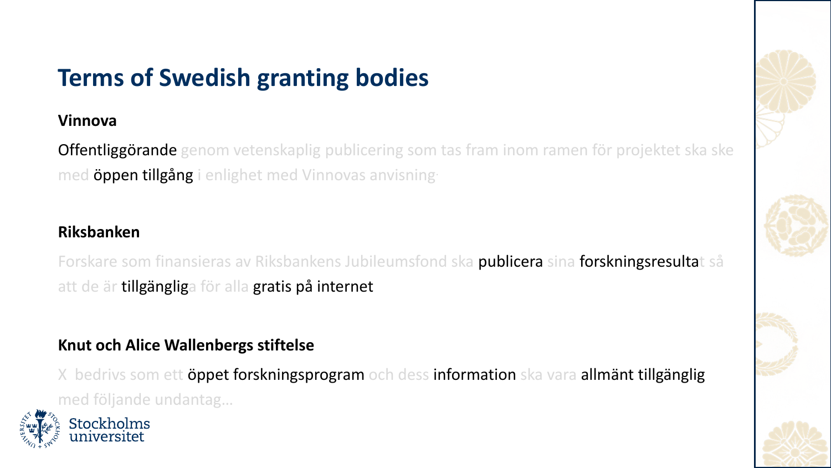# **Terms of Swedish granting bodies**

#### **Vinnova**

Offentliggörande genom vetenskaplig publicering som tas fram inom ramen för projektet ska ske med öppen tillgång i enlighet med Vinnovas anvisning-

#### **Riksbanken**

Forskare som finansieras av Riksbankens Jubileumsfond ska publicera sina forskningsresultat så att de är tillgängliga för alla gratis på internet

#### **Knut och Alice Wallenbergs stiftelse**

X bedrivs som ett öppet forskningsprogram och dess information ska vara allmänt tillgänglig med följande undantag…

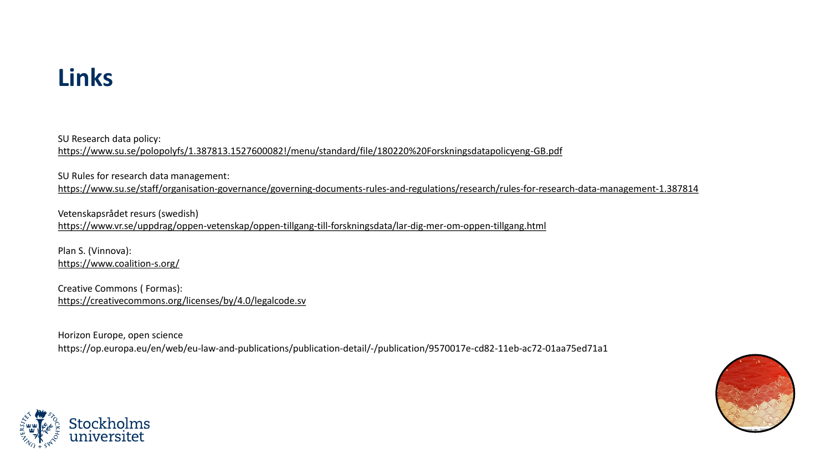### **Links**

SU Research data policy: <https://www.su.se/polopolyfs/1.387813.1527600082!/menu/standard/file/180220%20Forskningsdatapolicyeng-GB.pdf>

SU Rules for research data management:

<https://www.su.se/staff/organisation-governance/governing-documents-rules-and-regulations/research/rules-for-research-data-management-1.387814>

Vetenskapsrådet resurs (swedish) <https://www.vr.se/uppdrag/oppen-vetenskap/oppen-tillgang-till-forskningsdata/lar-dig-mer-om-oppen-tillgang.html>

Plan S. (Vinnova): <https://www.coalition-s.org/>

Creative Commons ( Formas): <https://creativecommons.org/licenses/by/4.0/legalcode.sv>

Horizon Europe, open science https://op.europa.eu/en/web/eu-law-and-publications/publication-detail/-/publication/9570017e-cd82-11eb-ac72-01aa75ed71a1